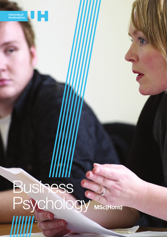

# Business Psychology MSc(Hons)